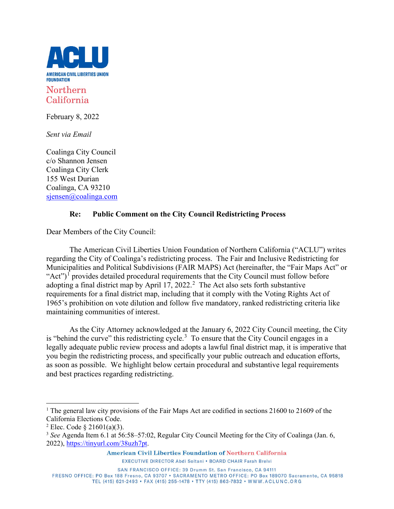

California

February 8, 2022

*Sent via Email*

Coalinga City Council c/o Shannon Jensen Coalinga City Clerk 155 West Durian Coalinga, CA 93210 [sjensen@coalinga.com](mailto:sjensen@coalinga.com)

# **Re: Public Comment on the City Council Redistricting Process**

Dear Members of the City Council:

The American Civil Liberties Union Foundation of Northern California ("ACLU") writes regarding the City of Coalinga's redistricting process. The Fair and Inclusive Redistricting for Municipalities and Political Subdivisions (FAIR MAPS) Act (hereinafter, the "Fair Maps Act" or "Act")<sup> $\overline{1}$  $\overline{1}$  $\overline{1}$ </sup> provides detailed procedural requirements that the City Council must follow before adopting a final district map by April 17, [2](#page-0-1)022.<sup>2</sup> The Act also sets forth substantive requirements for a final district map, including that it comply with the Voting Rights Act of 1965's prohibition on vote dilution and follow five mandatory, ranked redistricting criteria like maintaining communities of interest.

As the City Attorney acknowledged at the January 6, 2022 City Council meeting, the City is "behind the curve" this redistricting cycle.<sup>[3](#page-0-2)</sup> To ensure that the City Council engages in a legally adequate public review process and adopts a lawful final district map, it is imperative that you begin the redistricting process, and specifically your public outreach and education efforts, as soon as possible. We highlight below certain procedural and substantive legal requirements and best practices regarding redistricting.

SAN FRANCISCO OFFICE: 39 Drumm St. San Francisco, CA 94111

FRESNO OFFICE: PO Box 188 Fresno, CA 93707 · SACRAMENTO METRO OFFICE: PO Box 189070 Sacramento, CA 95818 TEL (415) 621-2493 · FAX (415) 255-1478 · TTY (415) 863-7832 · WWW.ACLUNC.ORG

<span id="page-0-0"></span><sup>&</sup>lt;sup>1</sup> The general law city provisions of the Fair Maps Act are codified in sections 21600 to 21609 of the California Elections Code.

<span id="page-0-1"></span><sup>&</sup>lt;sup>2</sup> Elec. Code § 21601(a)(3).

<span id="page-0-2"></span><sup>&</sup>lt;sup>3</sup> See Agenda Item 6.1 at 56:58–57:02, Regular City Council Meeting for the City of Coalinga (Jan. 6, 2022), [https://tinyurl.com/38uzh7pt.](https://tinyurl.com/38uzh7pt)

American Civil Liberties Foundation of Northern California EXECUTIVE DIRECTOR Abdi Soltani . BOARD CHAIR Farah Brelvi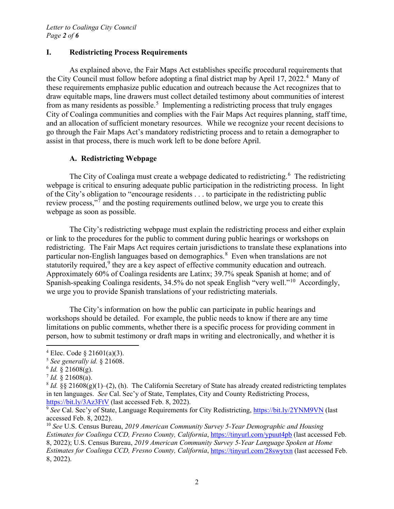## **I. Redistricting Process Requirements**

As explained above, the Fair Maps Act establishes specific procedural requirements that the City Council must follow before adopting a final district map by April 17, 2022.<sup>[4](#page-1-0)</sup> Many of these requirements emphasize public education and outreach because the Act recognizes that to draw equitable maps, line drawers must collect detailed testimony about communities of interest from as many residents as possible.<sup>[5](#page-1-1)</sup> Implementing a redistricting process that truly engages City of Coalinga communities and complies with the Fair Maps Act requires planning, staff time, and an allocation of sufficient monetary resources. While we recognize your recent decisions to go through the Fair Maps Act's mandatory redistricting process and to retain a demographer to assist in that process, there is much work left to be done before April.

## **A. Redistricting Webpage**

The City of Coalinga must create a webpage dedicated to redistricting.<sup>[6](#page-1-2)</sup> The redistricting webpage is critical to ensuring adequate public participation in the redistricting process. In light of the City's obligation to "encourage residents . . . to participate in the redistricting public review process,"<sup>[7](#page-1-3)</sup> and the posting requirements outlined below, we urge you to create this webpage as soon as possible.

The City's redistricting webpage must explain the redistricting process and either explain or link to the procedures for the public to comment during public hearings or workshops on redistricting. The Fair Maps Act requires certain jurisdictions to translate these explanations into particular non-English languages based on demographics.<sup>[8](#page-1-4)</sup> Even when translations are not statutorily required,<sup>[9](#page-1-5)</sup> they are a key aspect of effective community education and outreach. Approximately 60% of Coalinga residents are Latinx; 39.7% speak Spanish at home; and of Spanish-speaking Coalinga residents, 34.5% do not speak English "very well."[10](#page-1-6) Accordingly, we urge you to provide Spanish translations of your redistricting materials.

The City's information on how the public can participate in public hearings and workshops should be detailed. For example, the public needs to know if there are any time limitations on public comments, whether there is a specific process for providing comment in person, how to submit testimony or draft maps in writing and electronically, and whether it is

<span id="page-1-0"></span> $4$  Elec. Code  $8$  21601(a)(3).

<span id="page-1-1"></span><sup>5</sup> *See generally id.* § 21608.

<span id="page-1-2"></span> $6$  *Id.*  $\sqrt{21608(g)}$ .

<span id="page-1-3"></span> $^7$  *Id.* § 21608(a).

<span id="page-1-4"></span><sup>&</sup>lt;sup>8</sup> *Id.* §§ 21608(g)(1)–(2), (h). The California Secretary of State has already created redistricting templates in ten languages. *See* Cal. Sec'y of State, Templates, City and County Redistricting Process, <https://bit.ly/3Az3FtV> (last accessed Feb. 8, 2022).

<span id="page-1-5"></span><sup>&</sup>lt;sup>9</sup> See Cal. Sec'y of State, Language Requirements for City Redistricting,<https://bit.ly/2YNM9VN> (last accessed Feb. 8, 2022).

<span id="page-1-6"></span><sup>10</sup> *See* U.S. Census Bureau, *2019 American Community Survey 5-Year Demographic and Housing Estimates for Coalinga CCD, Fresno County, California*,<https://tinyurl.com/ypuut4pb> (last accessed Feb. 8, 2022); U.S. Census Bureau, *2019 American Community Survey 5-Year Language Spoken at Home Estimates for Coalinga CCD, Fresno County, California*,<https://tinyurl.com/28swytxn> (last accessed Feb. 8, 2022).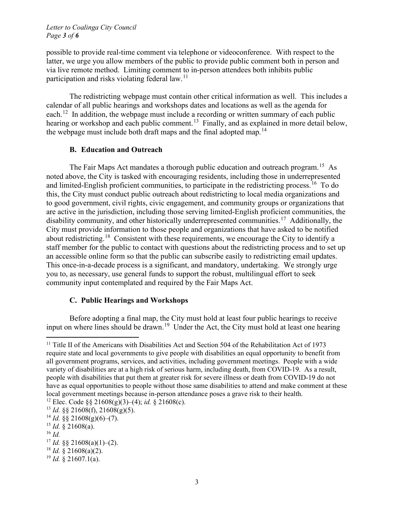possible to provide real-time comment via telephone or videoconference. With respect to the latter, we urge you allow members of the public to provide public comment both in person and via live remote method. Limiting comment to in-person attendees both inhibits public participation and risks violating federal law.<sup>[11](#page-2-0)</sup>

The redistricting webpage must contain other critical information as well. This includes a calendar of all public hearings and workshops dates and locations as well as the agenda for each.<sup>12</sup> In addition, the webpage must include a recording or written summary of each public hearing or workshop and each public comment.<sup>[13](#page-2-2)</sup> Finally, and as explained in more detail below, the webpage must include both draft maps and the final adopted map.<sup>[14](#page-2-3)</sup>

### **B. Education and Outreach**

The Fair Maps Act mandates a thorough public education and outreach program.<sup>[15](#page-2-4)</sup> As noted above, the City is tasked with encouraging residents, including those in underrepresented and limited-English proficient communities, to participate in the redistricting process.<sup>[16](#page-2-5)</sup> To do this, the City must conduct public outreach about redistricting to local media organizations and to good government, civil rights, civic engagement, and community groups or organizations that are active in the jurisdiction, including those serving limited-English proficient communities, the disability community, and other historically underrepresented communities.<sup>17</sup> Additionally, the City must provide information to those people and organizations that have asked to be notified about redistricting.[18](#page-2-7) Consistent with these requirements, we encourage the City to identify a staff member for the public to contact with questions about the redistricting process and to set up an accessible online form so that the public can subscribe easily to redistricting email updates. This once-in-a-decade process is a significant, and mandatory, undertaking. We strongly urge you to, as necessary, use general funds to support the robust, multilingual effort to seek community input contemplated and required by the Fair Maps Act.

## **C. Public Hearings and Workshops**

Before adopting a final map, the City must hold at least four public hearings to receive input on where lines should be drawn.<sup>19</sup> Under the Act, the City must hold at least one hearing

<span id="page-2-5"></span><sup>16</sup> *Id.*

<span id="page-2-0"></span><sup>&</sup>lt;sup>11</sup> Title II of the Americans with Disabilities Act and Section 504 of the Rehabilitation Act of 1973 require state and local governments to give people with disabilities an equal opportunity to benefit from all government programs, services, and activities, including government meetings. People with a wide variety of disabilities are at a high risk of serious harm, including death, from COVID-19. As a result, people with disabilities that put them at greater risk for severe illness or death from COVID-19 do not have as equal opportunities to people without those same disabilities to attend and make comment at these local government meetings because in-person attendance poses a grave risk to their health.

<span id="page-2-1"></span><sup>12</sup> Elec. Code §§ 21608(g)(3)–(4); *id.* § 21608(c).

<span id="page-2-2"></span><sup>13</sup> *Id.* §§ 21608(f), 21608(g)(5).

<span id="page-2-3"></span> $^{14}$  *Id.* §§ 21608(g)(6)–(7).

<span id="page-2-4"></span> $15$  *Id.* § 21608(a).

<span id="page-2-6"></span> $17$  *Id.* §§ 21608(a)(1)–(2).

<span id="page-2-7"></span> $18$  *Id.* § 21608(a)(2).

<span id="page-2-8"></span> $^{19}$  *Id.* § 21607.1(a).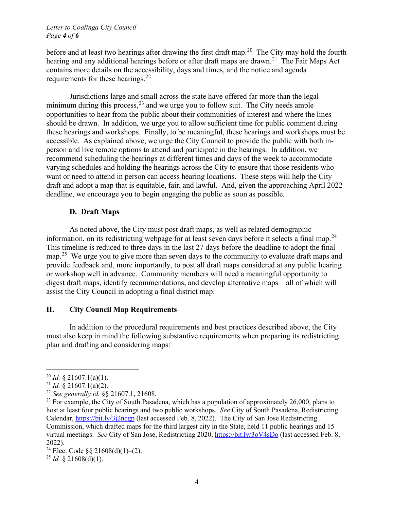#### *Letter to Coalinga City Council Page 4 of 6*

before and at least two hearings after drawing the first draft map.<sup>20</sup> The City may hold the fourth hearing and any additional hearings before or after draft maps are drawn.<sup>[21](#page-3-1)</sup> The Fair Maps Act contains more details on the accessibility, days and times, and the notice and agenda requirements for these hearings.<sup>[22](#page-3-2)</sup>

Jurisdictions large and small across the state have offered far more than the legal minimum during this process,  $^{23}$  $^{23}$  $^{23}$  and we urge you to follow suit. The City needs ample opportunities to hear from the public about their communities of interest and where the lines should be drawn. In addition, we urge you to allow sufficient time for public comment during these hearings and workshops. Finally, to be meaningful, these hearings and workshops must be accessible. As explained above, we urge the City Council to provide the public with both inperson and live remote options to attend and participate in the hearings. In addition, we recommend scheduling the hearings at different times and days of the week to accommodate varying schedules and holding the hearings across the City to ensure that those residents who want or need to attend in person can access hearing locations. These steps will help the City draft and adopt a map that is equitable, fair, and lawful. And, given the approaching April 2022 deadline, we encourage you to begin engaging the public as soon as possible.

# **D. Draft Maps**

As noted above, the City must post draft maps, as well as related demographic information, on its redistricting webpage for at least seven days before it selects a final map.<sup>[24](#page-3-4)</sup> This timeline is reduced to three days in the last 27 days before the deadline to adopt the final map.<sup>[25](#page-3-5)</sup> We urge you to give more than seven days to the community to evaluate draft maps and provide feedback and, more importantly, to post all draft maps considered at any public hearing or workshop well in advance. Community members will need a meaningful opportunity to digest draft maps, identify recommendations, and develop alternative maps—all of which will assist the City Council in adopting a final district map.

## **II. City Council Map Requirements**

In addition to the procedural requirements and best practices described above, the City must also keep in mind the following substantive requirements when preparing its redistricting plan and drafting and considering maps:

<span id="page-3-0"></span><sup>20</sup> *Id.* § 21607.1(a)(1).

<span id="page-3-1"></span><sup>21</sup> *Id.* § 21607.1(a)(2).

<span id="page-3-2"></span><sup>22</sup> *See generally id.* §§ 21607.1, 21608.

<span id="page-3-3"></span><sup>&</sup>lt;sup>23</sup> For example, the City of South Pasadena, which has a population of approximately 26,000, plans to host at least four public hearings and two public workshops. *See* City of South Pasadena, Redistricting Calendar,<https://bit.ly/3j2ncgp> (last accessed Feb. 8, 2022). The City of San Jose Redistricting Commission, which drafted maps for the third largest city in the State, held 11 public hearings and 15 virtual meetings. *See* City of San Jose, Redistricting 2020,<https://bit.ly/3oV4sDo> (last accessed Feb. 8, 2022).

<span id="page-3-4"></span><sup>&</sup>lt;sup>24</sup> Elec. Code  $\S$ § 21608(d)(1)–(2).

<span id="page-3-5"></span><sup>&</sup>lt;sup>25</sup> *Id.* § 21608(d)(1).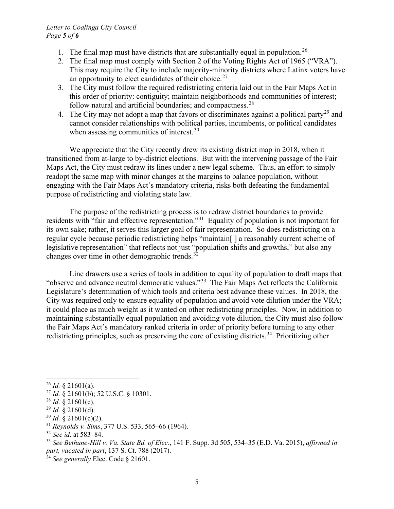#### *Letter to Coalinga City Council Page 5 of 6*

- 1. The final map must have districts that are substantially equal in population.<sup>[26](#page-4-0)</sup>
- 2. The final map must comply with Section 2 of the Voting Rights Act of 1965 ("VRA"). This may require the City to include majority-minority districts where Latinx voters have an opportunity to elect candidates of their choice.<sup>[27](#page-4-1)</sup>
- 3. The City must follow the required redistricting criteria laid out in the Fair Maps Act in this order of priority: contiguity; maintain neighborhoods and communities of interest; follow natural and artificial boundaries; and compactness. $28$
- 4. The City may not adopt a map that favors or discriminates against a political party<sup>[29](#page-4-3)</sup> and cannot consider relationships with political parties, incumbents, or political candidates when assessing communities of interest.<sup>[30](#page-4-4)</sup>

We appreciate that the City recently drew its existing district map in 2018, when it transitioned from at-large to by-district elections. But with the intervening passage of the Fair Maps Act, the City must redraw its lines under a new legal scheme. Thus, an effort to simply readopt the same map with minor changes at the margins to balance population, without engaging with the Fair Maps Act's mandatory criteria, risks both defeating the fundamental purpose of redistricting and violating state law.

The purpose of the redistricting process is to redraw district boundaries to provide residents with "fair and effective representation."[31](#page-4-5) Equality of population is not important for its own sake; rather, it serves this larger goal of fair representation. So does redistricting on a regular cycle because periodic redistricting helps "maintain[ ] a reasonably current scheme of legislative representation" that reflects not just "population shifts and growths," but also any changes over time in other demographic trends. $32$ 

Line drawers use a series of tools in addition to equality of population to draft maps that "observe and advance neutral democratic values."[33](#page-4-7) The Fair Maps Act reflects the California Legislature's determination of which tools and criteria best advance these values. In 2018, the City was required only to ensure equality of population and avoid vote dilution under the VRA; it could place as much weight as it wanted on other redistricting principles. Now, in addition to maintaining substantially equal population and avoiding vote dilution, the City must also follow the Fair Maps Act's mandatory ranked criteria in order of priority before turning to any other redistricting principles, such as preserving the core of existing districts.<sup>[34](#page-4-8)</sup> Prioritizing other

<span id="page-4-3"></span> $^{29}$  *Id.* § 21601(d).

<span id="page-4-5"></span><sup>31</sup> *Reynolds v. Sims*, 377 U.S. 533, 565–66 (1964).

 $^{26}$  *Id.* § 21601(a).

<span id="page-4-1"></span><span id="page-4-0"></span><sup>27</sup> *Id.* § 21601(b); 52 U.S.C. § 10301.

<span id="page-4-2"></span> $^{28}$  *Id.* § 21601(c).

<span id="page-4-4"></span> $30$  *Id.*  $\frac{8}{3}$  21601(c)(2).

<span id="page-4-6"></span><sup>32</sup> *See id*. at 583–84.

<span id="page-4-7"></span><sup>33</sup> *See Bethune-Hill v. Va. State Bd. of Elec.*, 141 F. Supp. 3d 505, 534–35 (E.D. Va. 2015), *affirmed in part, vacated in part*, 137 S. Ct. 788 (2017).

<span id="page-4-8"></span><sup>34</sup> *See generally* Elec. Code § 21601.